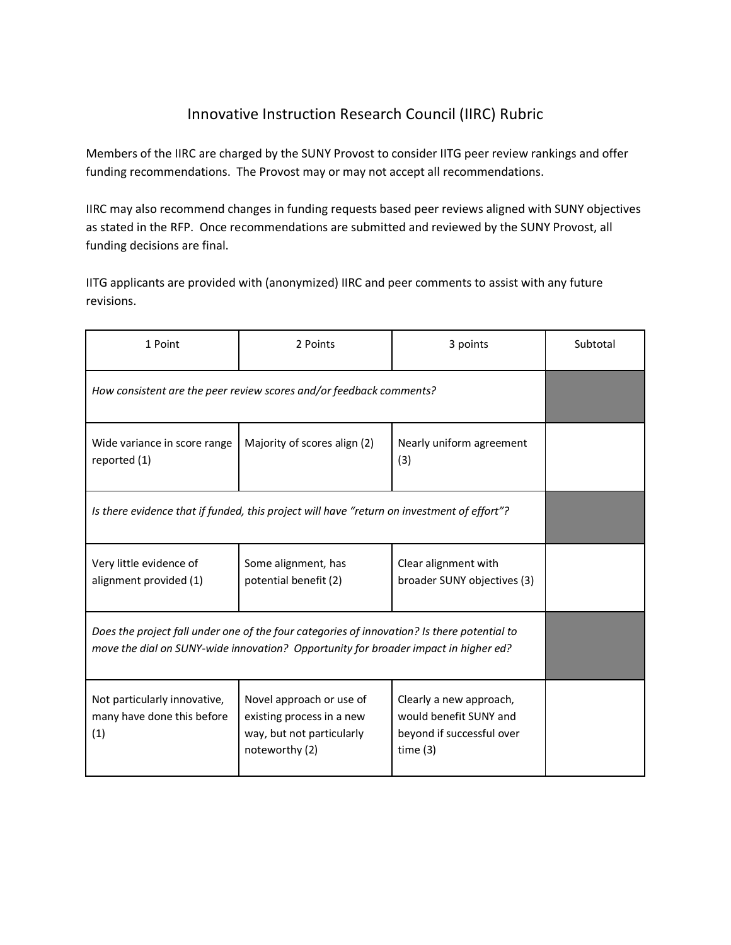## Innovative Instruction Research Council (IIRC) Rubric

Members of the IIRC are charged by the SUNY Provost to consider IITG peer review rankings and offer funding recommendations. The Provost may or may not accept all recommendations.

IIRC may also recommend changes in funding requests based peer reviews aligned with SUNY objectives as stated in the RFP. Once recommendations are submitted and reviewed by the SUNY Provost, all funding decisions are final.

IITG applicants are provided with (anonymized) IIRC and peer comments to assist with any future revisions.

| 1 Point                                                                                                                                                                            | 2 Points                                                                                             | 3 points                                                                                     | Subtotal |
|------------------------------------------------------------------------------------------------------------------------------------------------------------------------------------|------------------------------------------------------------------------------------------------------|----------------------------------------------------------------------------------------------|----------|
| How consistent are the peer review scores and/or feedback comments?                                                                                                                |                                                                                                      |                                                                                              |          |
| Wide variance in score range<br>reported (1)                                                                                                                                       | Majority of scores align (2)                                                                         | Nearly uniform agreement<br>(3)                                                              |          |
| Is there evidence that if funded, this project will have "return on investment of effort"?                                                                                         |                                                                                                      |                                                                                              |          |
| Very little evidence of<br>alignment provided (1)                                                                                                                                  | Some alignment, has<br>potential benefit (2)                                                         | Clear alignment with<br>broader SUNY objectives (3)                                          |          |
| Does the project fall under one of the four categories of innovation? Is there potential to<br>move the dial on SUNY-wide innovation? Opportunity for broader impact in higher ed? |                                                                                                      |                                                                                              |          |
| Not particularly innovative,<br>many have done this before<br>(1)                                                                                                                  | Novel approach or use of<br>existing process in a new<br>way, but not particularly<br>noteworthy (2) | Clearly a new approach,<br>would benefit SUNY and<br>beyond if successful over<br>time $(3)$ |          |